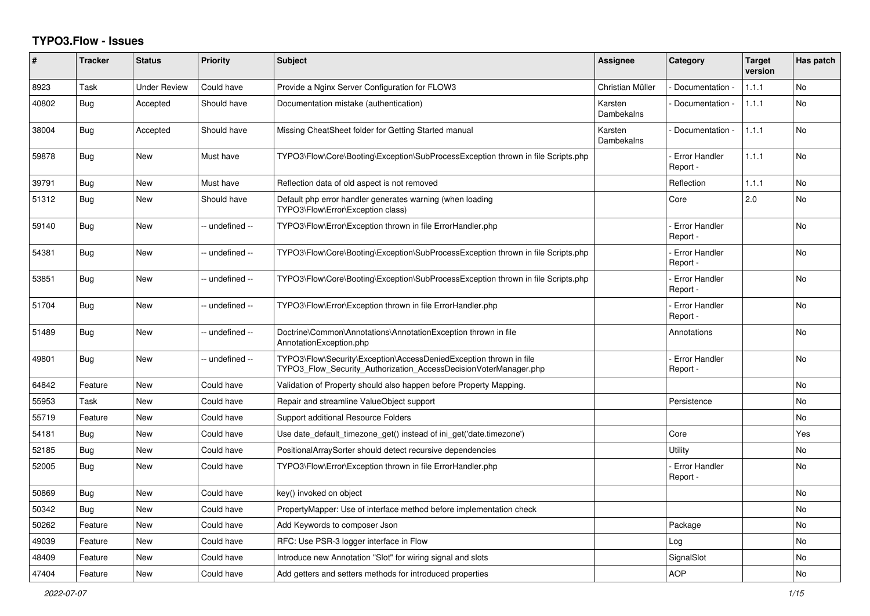## **TYPO3.Flow - Issues**

| #     | <b>Tracker</b> | <b>Status</b>       | <b>Priority</b> | <b>Subject</b>                                                                                                                         | Assignee              | Category                         | <b>Target</b><br>version | Has patch |
|-------|----------------|---------------------|-----------------|----------------------------------------------------------------------------------------------------------------------------------------|-----------------------|----------------------------------|--------------------------|-----------|
| 8923  | Task           | <b>Under Review</b> | Could have      | Provide a Nginx Server Configuration for FLOW3                                                                                         | Christian Müller      | Documentation                    | 1.1.1                    | No        |
| 40802 | Bug            | Accepted            | Should have     | Documentation mistake (authentication)                                                                                                 | Karsten<br>Dambekalns | Documentation -                  | 1.1.1                    | <b>No</b> |
| 38004 | <b>Bug</b>     | Accepted            | Should have     | Missing CheatSheet folder for Getting Started manual                                                                                   | Karsten<br>Dambekalns | Documentation -                  | 1.1.1                    | <b>No</b> |
| 59878 | Bug            | <b>New</b>          | Must have       | TYPO3\Flow\Core\Booting\Exception\SubProcessException thrown in file Scripts.php                                                       |                       | <b>Error Handler</b><br>Report - | 1.1.1                    | <b>No</b> |
| 39791 | Bug            | <b>New</b>          | Must have       | Reflection data of old aspect is not removed                                                                                           |                       | Reflection                       | 1.1.1                    | <b>No</b> |
| 51312 | Bug            | New                 | Should have     | Default php error handler generates warning (when loading<br>TYPO3\Flow\Error\Exception class)                                         |                       | Core                             | 2.0                      | No        |
| 59140 | Bug            | <b>New</b>          | -- undefined -- | TYPO3\Flow\Error\Exception thrown in file ErrorHandler.php                                                                             |                       | <b>Error Handler</b><br>Report - |                          | No        |
| 54381 | <b>Bug</b>     | <b>New</b>          | -- undefined -- | TYPO3\Flow\Core\Booting\Exception\SubProcessException thrown in file Scripts.php                                                       |                       | Error Handler<br>Report -        |                          | <b>No</b> |
| 53851 | <b>Bug</b>     | <b>New</b>          | -- undefined -- | TYPO3\Flow\Core\Booting\Exception\SubProcessException thrown in file Scripts.php                                                       |                       | Error Handler<br>Report -        |                          | <b>No</b> |
| 51704 | Bug            | New                 | -- undefined -- | TYPO3\Flow\Error\Exception thrown in file ErrorHandler.php                                                                             |                       | Error Handler<br>Report -        |                          | No        |
| 51489 | Bug            | New                 | -- undefined -- | Doctrine\Common\Annotations\AnnotationException thrown in file<br>AnnotationException.php                                              |                       | Annotations                      |                          | No        |
| 49801 | Bug            | <b>New</b>          | -- undefined -- | TYPO3\Flow\Security\Exception\AccessDeniedException thrown in file<br>TYPO3 Flow Security Authorization AccessDecisionVoterManager.php |                       | <b>Error Handler</b><br>Report - |                          | <b>No</b> |
| 64842 | Feature        | <b>New</b>          | Could have      | Validation of Property should also happen before Property Mapping.                                                                     |                       |                                  |                          | <b>No</b> |
| 55953 | Task           | <b>New</b>          | Could have      | Repair and streamline ValueObject support                                                                                              |                       | Persistence                      |                          | No        |
| 55719 | Feature        | New                 | Could have      | Support additional Resource Folders                                                                                                    |                       |                                  |                          | No        |
| 54181 | Bug            | New                 | Could have      | Use date default timezone get() instead of ini get('date.timezone')                                                                    |                       | Core                             |                          | Yes       |
| 52185 | <b>Bug</b>     | New                 | Could have      | PositionalArraySorter should detect recursive dependencies                                                                             |                       | Utility                          |                          | No        |
| 52005 | <b>Bug</b>     | New                 | Could have      | TYPO3\Flow\Error\Exception thrown in file ErrorHandler.php                                                                             |                       | <b>Error Handler</b><br>Report - |                          | No        |
| 50869 | <b>Bug</b>     | <b>New</b>          | Could have      | key() invoked on object                                                                                                                |                       |                                  |                          | No        |
| 50342 | Bug            | New                 | Could have      | PropertyMapper: Use of interface method before implementation check                                                                    |                       |                                  |                          | No        |
| 50262 | Feature        | New                 | Could have      | Add Keywords to composer Json                                                                                                          |                       | Package                          |                          | No        |
| 49039 | Feature        | <b>New</b>          | Could have      | RFC: Use PSR-3 logger interface in Flow                                                                                                |                       | Log                              |                          | <b>No</b> |
| 48409 | Feature        | <b>New</b>          | Could have      | Introduce new Annotation "Slot" for wiring signal and slots                                                                            |                       | SignalSlot                       |                          | <b>No</b> |
| 47404 | Feature        | New                 | Could have      | Add getters and setters methods for introduced properties                                                                              |                       | <b>AOP</b>                       |                          | No        |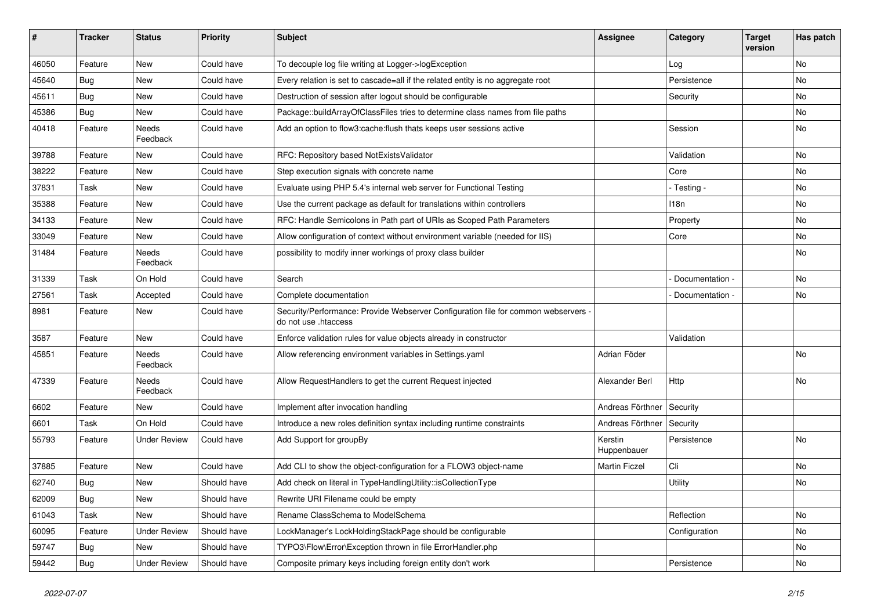| #     | <b>Tracker</b> | <b>Status</b>            | <b>Priority</b> | Subject                                                                                                    | <b>Assignee</b>        | Category        | <b>Target</b><br>version | Has patch |
|-------|----------------|--------------------------|-----------------|------------------------------------------------------------------------------------------------------------|------------------------|-----------------|--------------------------|-----------|
| 46050 | Feature        | <b>New</b>               | Could have      | To decouple log file writing at Logger->logException                                                       |                        | Log             |                          | No        |
| 45640 | <b>Bug</b>     | New                      | Could have      | Every relation is set to cascade=all if the related entity is no aggregate root                            |                        | Persistence     |                          | No        |
| 45611 | <b>Bug</b>     | New                      | Could have      | Destruction of session after logout should be configurable                                                 |                        | Security        |                          | No        |
| 45386 | <b>Bug</b>     | New                      | Could have      | Package::buildArrayOfClassFiles tries to determine class names from file paths                             |                        |                 |                          | No        |
| 40418 | Feature        | Needs<br>Feedback        | Could have      | Add an option to flow3:cache: flush thats keeps user sessions active                                       |                        | Session         |                          | No        |
| 39788 | Feature        | New                      | Could have      | RFC: Repository based NotExistsValidator                                                                   |                        | Validation      |                          | No        |
| 38222 | Feature        | New                      | Could have      | Step execution signals with concrete name                                                                  |                        | Core            |                          | No        |
| 37831 | Task           | New                      | Could have      | Evaluate using PHP 5.4's internal web server for Functional Testing                                        |                        | - Testing -     |                          | No        |
| 35388 | Feature        | New                      | Could have      | Use the current package as default for translations within controllers                                     |                        | 118n            |                          | No        |
| 34133 | Feature        | New                      | Could have      | RFC: Handle Semicolons in Path part of URIs as Scoped Path Parameters                                      |                        | Property        |                          | <b>No</b> |
| 33049 | Feature        | New                      | Could have      | Allow configuration of context without environment variable (needed for IIS)                               |                        | Core            |                          | No        |
| 31484 | Feature        | Needs<br>Feedback        | Could have      | possibility to modify inner workings of proxy class builder                                                |                        |                 |                          | No        |
| 31339 | Task           | On Hold                  | Could have      | Search                                                                                                     |                        | Documentation - |                          | <b>No</b> |
| 27561 | Task           | Accepted                 | Could have      | Complete documentation                                                                                     |                        | Documentation - |                          | No        |
| 8981  | Feature        | New                      | Could have      | Security/Performance: Provide Webserver Configuration file for common webservers -<br>do not use .htaccess |                        |                 |                          |           |
| 3587  | Feature        | New                      | Could have      | Enforce validation rules for value objects already in constructor                                          |                        | Validation      |                          |           |
| 45851 | Feature        | Needs<br>Feedback        | Could have      | Allow referencing environment variables in Settings.yaml                                                   | Adrian Föder           |                 |                          | No        |
| 47339 | Feature        | <b>Needs</b><br>Feedback | Could have      | Allow RequestHandlers to get the current Request injected                                                  | Alexander Berl         | Http            |                          | <b>No</b> |
| 6602  | Feature        | <b>New</b>               | Could have      | Implement after invocation handling                                                                        | Andreas Förthner       | Security        |                          |           |
| 6601  | Task           | On Hold                  | Could have      | Introduce a new roles definition syntax including runtime constraints                                      | Andreas Förthner       | Security        |                          |           |
| 55793 | Feature        | <b>Under Review</b>      | Could have      | Add Support for groupBy                                                                                    | Kerstin<br>Huppenbauer | Persistence     |                          | <b>No</b> |
| 37885 | Feature        | <b>New</b>               | Could have      | Add CLI to show the object-configuration for a FLOW3 object-name                                           | <b>Martin Ficzel</b>   | Cli             |                          | No        |
| 62740 | <b>Bug</b>     | New                      | Should have     | Add check on literal in TypeHandlingUtility::isCollectionType                                              |                        | Utility         |                          | No        |
| 62009 | Bug            | New                      | Should have     | Rewrite URI Filename could be empty                                                                        |                        |                 |                          |           |
| 61043 | Task           | New                      | Should have     | Rename ClassSchema to ModelSchema                                                                          |                        | Reflection      |                          | No        |
| 60095 | Feature        | <b>Under Review</b>      | Should have     | LockManager's LockHoldingStackPage should be configurable                                                  |                        | Configuration   |                          | No        |
| 59747 | Bug            | New                      | Should have     | TYPO3\Flow\Error\Exception thrown in file ErrorHandler.php                                                 |                        |                 |                          | No        |
| 59442 | <b>Bug</b>     | <b>Under Review</b>      | Should have     | Composite primary keys including foreign entity don't work                                                 |                        | Persistence     |                          | No        |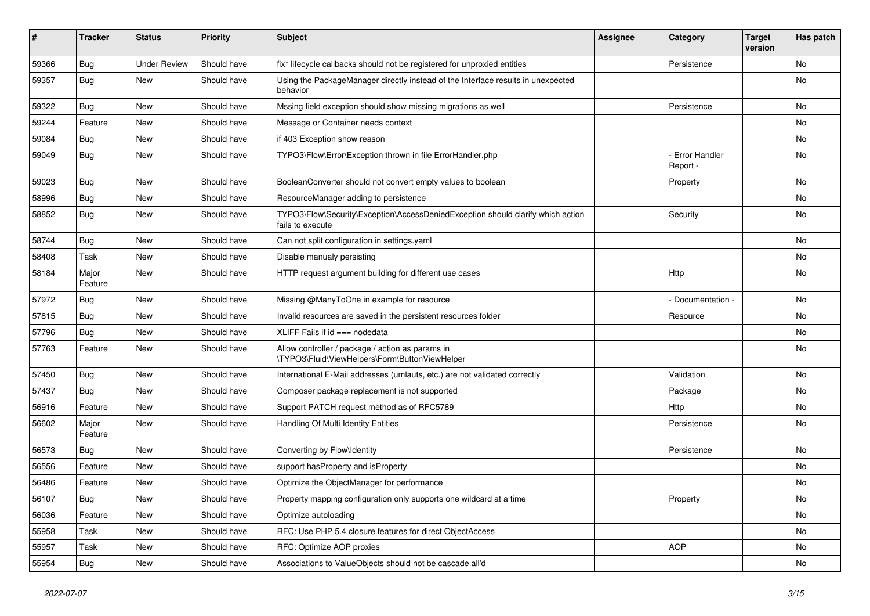| ∦     | <b>Tracker</b>   | <b>Status</b>       | <b>Priority</b> | Subject                                                                                             | Assignee | Category                  | <b>Target</b><br>version | Has patch |
|-------|------------------|---------------------|-----------------|-----------------------------------------------------------------------------------------------------|----------|---------------------------|--------------------------|-----------|
| 59366 | Bug              | <b>Under Review</b> | Should have     | fix* lifecycle callbacks should not be registered for unproxied entities                            |          | Persistence               |                          | No        |
| 59357 | <b>Bug</b>       | New                 | Should have     | Using the PackageManager directly instead of the Interface results in unexpected<br>behavior        |          |                           |                          | No        |
| 59322 | <b>Bug</b>       | <b>New</b>          | Should have     | Mssing field exception should show missing migrations as well                                       |          | Persistence               |                          | <b>No</b> |
| 59244 | Feature          | New                 | Should have     | Message or Container needs context                                                                  |          |                           |                          | No        |
| 59084 | <b>Bug</b>       | <b>New</b>          | Should have     | if 403 Exception show reason                                                                        |          |                           |                          | No        |
| 59049 | <b>Bug</b>       | New                 | Should have     | TYPO3\Flow\Error\Exception thrown in file ErrorHandler.php                                          |          | Error Handler<br>Report - |                          | No        |
| 59023 | <b>Bug</b>       | New                 | Should have     | BooleanConverter should not convert empty values to boolean                                         |          | Property                  |                          | No        |
| 58996 | <b>Bug</b>       | New                 | Should have     | ResourceManager adding to persistence                                                               |          |                           |                          | No        |
| 58852 | <b>Bug</b>       | New                 | Should have     | TYPO3\Flow\Security\Exception\AccessDeniedException should clarify which action<br>fails to execute |          | Security                  |                          | No        |
| 58744 | <b>Bug</b>       | New                 | Should have     | Can not split configuration in settings.yaml                                                        |          |                           |                          | No        |
| 58408 | Task             | <b>New</b>          | Should have     | Disable manualy persisting                                                                          |          |                           |                          | No        |
| 58184 | Major<br>Feature | New                 | Should have     | HTTP request argument building for different use cases                                              |          | Http                      |                          | No        |
| 57972 | <b>Bug</b>       | New                 | Should have     | Missing @ManyToOne in example for resource                                                          |          | Documentation -           |                          | No        |
| 57815 | <b>Bug</b>       | New                 | Should have     | Invalid resources are saved in the persistent resources folder                                      |          | Resource                  |                          | No        |
| 57796 | <b>Bug</b>       | New                 | Should have     | XLIFF Fails if $id ==$ nodedata                                                                     |          |                           |                          | No        |
| 57763 | Feature          | <b>New</b>          | Should have     | Allow controller / package / action as params in<br>\TYPO3\Fluid\ViewHelpers\Form\ButtonViewHelper  |          |                           |                          | <b>No</b> |
| 57450 | Bug              | New                 | Should have     | International E-Mail addresses (umlauts, etc.) are not validated correctly                          |          | Validation                |                          | <b>No</b> |
| 57437 | <b>Bug</b>       | New                 | Should have     | Composer package replacement is not supported                                                       |          | Package                   |                          | No        |
| 56916 | Feature          | New                 | Should have     | Support PATCH request method as of RFC5789                                                          |          | Http                      |                          | <b>No</b> |
| 56602 | Major<br>Feature | New                 | Should have     | Handling Of Multi Identity Entities                                                                 |          | Persistence               |                          | No        |
| 56573 | <b>Bug</b>       | New                 | Should have     | Converting by Flow\Identity                                                                         |          | Persistence               |                          | No        |
| 56556 | Feature          | New                 | Should have     | support hasProperty and isProperty                                                                  |          |                           |                          | No        |
| 56486 | Feature          | New                 | Should have     | Optimize the ObjectManager for performance                                                          |          |                           |                          | No        |
| 56107 | <b>Bug</b>       | <b>New</b>          | Should have     | Property mapping configuration only supports one wildcard at a time                                 |          | Property                  |                          | No        |
| 56036 | Feature          | New                 | Should have     | Optimize autoloading                                                                                |          |                           |                          | No        |
| 55958 | Task             | New                 | Should have     | RFC: Use PHP 5.4 closure features for direct ObjectAccess                                           |          |                           |                          | No        |
| 55957 | Task             | New                 | Should have     | RFC: Optimize AOP proxies                                                                           |          | <b>AOP</b>                |                          | No        |
| 55954 | <b>Bug</b>       | New                 | Should have     | Associations to ValueObjects should not be cascade all'd                                            |          |                           |                          | No        |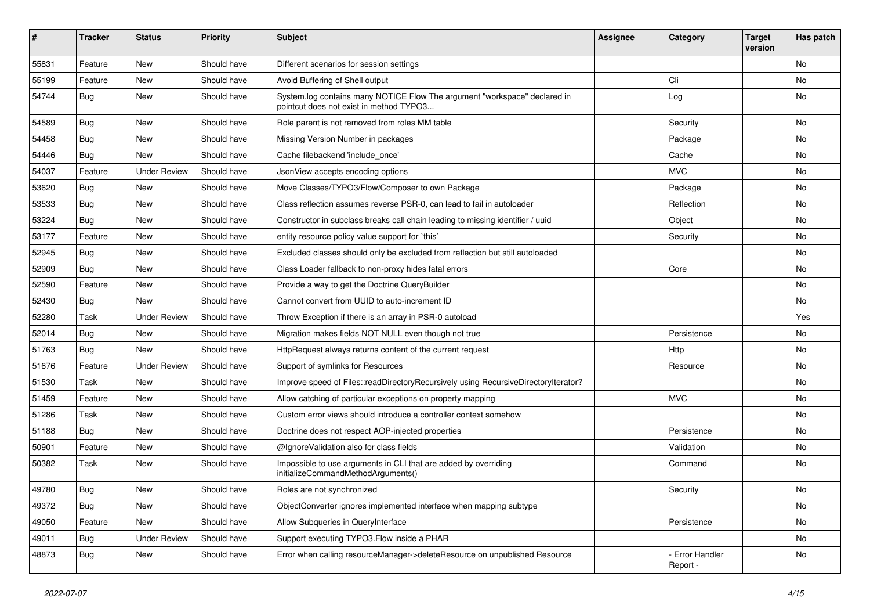| ∦     | <b>Tracker</b> | <b>Status</b>       | <b>Priority</b> | <b>Subject</b>                                                                                                       | <b>Assignee</b> | Category                  | <b>Target</b><br>version | Has patch |
|-------|----------------|---------------------|-----------------|----------------------------------------------------------------------------------------------------------------------|-----------------|---------------------------|--------------------------|-----------|
| 55831 | Feature        | New                 | Should have     | Different scenarios for session settings                                                                             |                 |                           |                          | <b>No</b> |
| 55199 | Feature        | New                 | Should have     | Avoid Buffering of Shell output                                                                                      |                 | Cli                       |                          | No        |
| 54744 | <b>Bug</b>     | New                 | Should have     | System.log contains many NOTICE Flow The argument "workspace" declared in<br>pointcut does not exist in method TYPO3 |                 | Log                       |                          | No        |
| 54589 | Bug            | New                 | Should have     | Role parent is not removed from roles MM table                                                                       |                 | Security                  |                          | No        |
| 54458 | Bug            | <b>New</b>          | Should have     | Missing Version Number in packages                                                                                   |                 | Package                   |                          | <b>No</b> |
| 54446 | <b>Bug</b>     | New                 | Should have     | Cache filebackend 'include_once'                                                                                     |                 | Cache                     |                          | No        |
| 54037 | Feature        | <b>Under Review</b> | Should have     | JsonView accepts encoding options                                                                                    |                 | <b>MVC</b>                |                          | No        |
| 53620 | Bug            | New                 | Should have     | Move Classes/TYPO3/Flow/Composer to own Package                                                                      |                 | Package                   |                          | No        |
| 53533 | <b>Bug</b>     | New                 | Should have     | Class reflection assumes reverse PSR-0, can lead to fail in autoloader                                               |                 | Reflection                |                          | No        |
| 53224 | <b>Bug</b>     | New                 | Should have     | Constructor in subclass breaks call chain leading to missing identifier / uuid                                       |                 | Object                    |                          | <b>No</b> |
| 53177 | Feature        | New                 | Should have     | entity resource policy value support for `this`                                                                      |                 | Security                  |                          | No        |
| 52945 | <b>Bug</b>     | New                 | Should have     | Excluded classes should only be excluded from reflection but still autoloaded                                        |                 |                           |                          | No        |
| 52909 | Bug            | New                 | Should have     | Class Loader fallback to non-proxy hides fatal errors                                                                |                 | Core                      |                          | No        |
| 52590 | Feature        | New                 | Should have     | Provide a way to get the Doctrine QueryBuilder                                                                       |                 |                           |                          | No        |
| 52430 | <b>Bug</b>     | New                 | Should have     | Cannot convert from UUID to auto-increment ID                                                                        |                 |                           |                          | No        |
| 52280 | Task           | <b>Under Review</b> | Should have     | Throw Exception if there is an array in PSR-0 autoload                                                               |                 |                           |                          | Yes       |
| 52014 | <b>Bug</b>     | New                 | Should have     | Migration makes fields NOT NULL even though not true                                                                 |                 | Persistence               |                          | No        |
| 51763 | Bug            | <b>New</b>          | Should have     | HttpRequest always returns content of the current request                                                            |                 | Http                      |                          | <b>No</b> |
| 51676 | Feature        | <b>Under Review</b> | Should have     | Support of symlinks for Resources                                                                                    |                 | Resource                  |                          | No        |
| 51530 | Task           | New                 | Should have     | Improve speed of Files::readDirectoryRecursively using RecursiveDirectoryIterator?                                   |                 |                           |                          | No        |
| 51459 | Feature        | <b>New</b>          | Should have     | Allow catching of particular exceptions on property mapping                                                          |                 | <b>MVC</b>                |                          | <b>No</b> |
| 51286 | Task           | New                 | Should have     | Custom error views should introduce a controller context somehow                                                     |                 |                           |                          | No        |
| 51188 | Bug            | <b>New</b>          | Should have     | Doctrine does not respect AOP-injected properties                                                                    |                 | Persistence               |                          | <b>No</b> |
| 50901 | Feature        | New                 | Should have     | @IgnoreValidation also for class fields                                                                              |                 | Validation                |                          | No        |
| 50382 | Task           | New                 | Should have     | Impossible to use arguments in CLI that are added by overriding<br>initializeCommandMethodArguments()                |                 | Command                   |                          | <b>No</b> |
| 49780 | Bug            | New                 | Should have     | Roles are not synchronized                                                                                           |                 | Security                  |                          | <b>No</b> |
| 49372 | <b>Bug</b>     | New                 | Should have     | ObjectConverter ignores implemented interface when mapping subtype                                                   |                 |                           |                          | No        |
| 49050 | Feature        | New                 | Should have     | Allow Subqueries in QueryInterface                                                                                   |                 | Persistence               |                          | No        |
| 49011 | <b>Bug</b>     | <b>Under Review</b> | Should have     | Support executing TYPO3.Flow inside a PHAR                                                                           |                 |                           |                          | No        |
| 48873 | <b>Bug</b>     | New                 | Should have     | Error when calling resourceManager->deleteResource on unpublished Resource                                           |                 | Error Handler<br>Report - |                          | No        |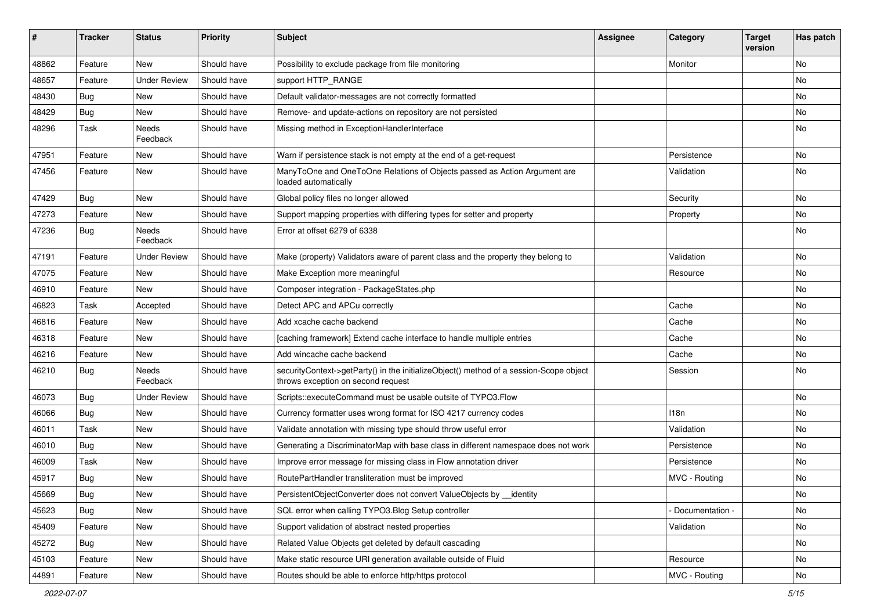| ∦     | <b>Tracker</b> | <b>Status</b>            | <b>Priority</b> | <b>Subject</b>                                                                                                               | <b>Assignee</b> | Category          | <b>Target</b><br>version | Has patch |
|-------|----------------|--------------------------|-----------------|------------------------------------------------------------------------------------------------------------------------------|-----------------|-------------------|--------------------------|-----------|
| 48862 | Feature        | New                      | Should have     | Possibility to exclude package from file monitoring                                                                          |                 | Monitor           |                          | No        |
| 48657 | Feature        | <b>Under Review</b>      | Should have     | support HTTP RANGE                                                                                                           |                 |                   |                          | No        |
| 48430 | <b>Bug</b>     | New                      | Should have     | Default validator-messages are not correctly formatted                                                                       |                 |                   |                          | No        |
| 48429 | Bug            | <b>New</b>               | Should have     | Remove- and update-actions on repository are not persisted                                                                   |                 |                   |                          | No        |
| 48296 | Task           | Needs<br>Feedback        | Should have     | Missing method in ExceptionHandlerInterface                                                                                  |                 |                   |                          | No        |
| 47951 | Feature        | New                      | Should have     | Warn if persistence stack is not empty at the end of a get-request                                                           |                 | Persistence       |                          | No        |
| 47456 | Feature        | New                      | Should have     | ManyToOne and OneToOne Relations of Objects passed as Action Argument are<br>loaded automatically                            |                 | Validation        |                          | <b>No</b> |
| 47429 | <b>Bug</b>     | New                      | Should have     | Global policy files no longer allowed                                                                                        |                 | Security          |                          | No        |
| 47273 | Feature        | New                      | Should have     | Support mapping properties with differing types for setter and property                                                      |                 | Property          |                          | No        |
| 47236 | Bug            | <b>Needs</b><br>Feedback | Should have     | Error at offset 6279 of 6338                                                                                                 |                 |                   |                          | No        |
| 47191 | Feature        | <b>Under Review</b>      | Should have     | Make (property) Validators aware of parent class and the property they belong to                                             |                 | Validation        |                          | <b>No</b> |
| 47075 | Feature        | New                      | Should have     | Make Exception more meaningful                                                                                               |                 | Resource          |                          | No        |
| 46910 | Feature        | New                      | Should have     | Composer integration - PackageStates.php                                                                                     |                 |                   |                          | No        |
| 46823 | Task           | Accepted                 | Should have     | Detect APC and APCu correctly                                                                                                |                 | Cache             |                          | No        |
| 46816 | Feature        | <b>New</b>               | Should have     | Add xcache cache backend                                                                                                     |                 | Cache             |                          | No        |
| 46318 | Feature        | New                      | Should have     | [caching framework] Extend cache interface to handle multiple entries                                                        |                 | Cache             |                          | No        |
| 46216 | Feature        | New                      | Should have     | Add wincache cache backend                                                                                                   |                 | Cache             |                          | No        |
| 46210 | <b>Bug</b>     | Needs<br>Feedback        | Should have     | securityContext->getParty() in the initializeObject() method of a session-Scope object<br>throws exception on second request |                 | Session           |                          | No        |
| 46073 | <b>Bug</b>     | <b>Under Review</b>      | Should have     | Scripts::executeCommand must be usable outsite of TYPO3.Flow                                                                 |                 |                   |                          | No        |
| 46066 | <b>Bug</b>     | New                      | Should have     | Currency formatter uses wrong format for ISO 4217 currency codes                                                             |                 | 118n              |                          | No        |
| 46011 | Task           | New                      | Should have     | Validate annotation with missing type should throw useful error                                                              |                 | Validation        |                          | No        |
| 46010 | <b>Bug</b>     | New                      | Should have     | Generating a DiscriminatorMap with base class in different namespace does not work                                           |                 | Persistence       |                          | No        |
| 46009 | Task           | New                      | Should have     | Improve error message for missing class in Flow annotation driver                                                            |                 | Persistence       |                          | <b>No</b> |
| 45917 | <b>Bug</b>     | New                      | Should have     | RoutePartHandler transliteration must be improved                                                                            |                 | MVC - Routing     |                          | No        |
| 45669 | <b>Bug</b>     | New                      | Should have     | PersistentObjectConverter does not convert ValueObjects by __identity                                                        |                 |                   |                          | N0        |
| 45623 | Bug            | New                      | Should have     | SQL error when calling TYPO3.Blog Setup controller                                                                           |                 | - Documentation - |                          | No        |
| 45409 | Feature        | New                      | Should have     | Support validation of abstract nested properties                                                                             |                 | Validation        |                          | No        |
| 45272 | Bug            | New                      | Should have     | Related Value Objects get deleted by default cascading                                                                       |                 |                   |                          | No        |
| 45103 | Feature        | New                      | Should have     | Make static resource URI generation available outside of Fluid                                                               |                 | Resource          |                          | No        |
| 44891 | Feature        | New                      | Should have     | Routes should be able to enforce http/https protocol                                                                         |                 | MVC - Routing     |                          | No        |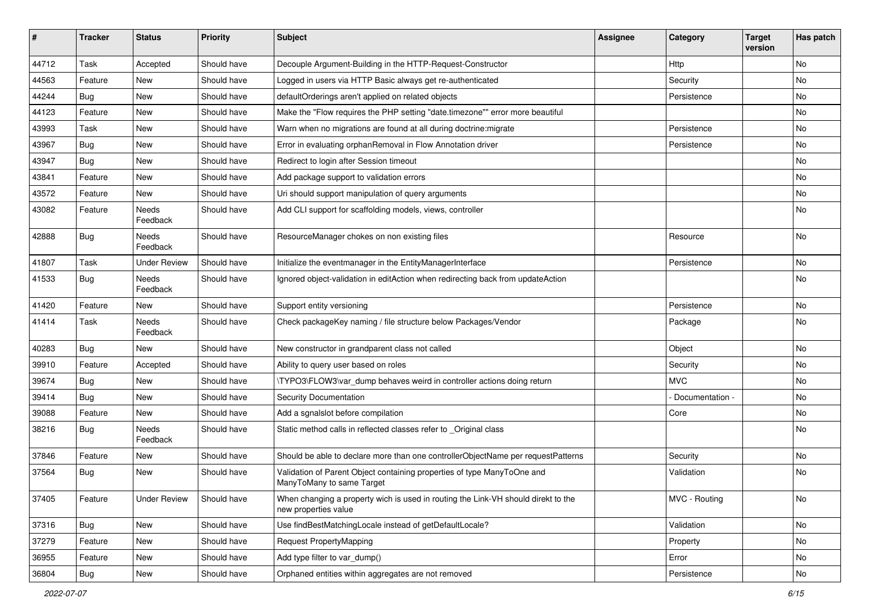| ∦     | <b>Tracker</b> | <b>Status</b>       | <b>Priority</b> | <b>Subject</b>                                                                                            | <b>Assignee</b> | Category        | <b>Target</b><br>version | Has patch |
|-------|----------------|---------------------|-----------------|-----------------------------------------------------------------------------------------------------------|-----------------|-----------------|--------------------------|-----------|
| 44712 | Task           | Accepted            | Should have     | Decouple Argument-Building in the HTTP-Request-Constructor                                                |                 | Http            |                          | <b>No</b> |
| 44563 | Feature        | <b>New</b>          | Should have     | Logged in users via HTTP Basic always get re-authenticated                                                |                 | Security        |                          | <b>No</b> |
| 44244 | <b>Bug</b>     | New                 | Should have     | defaultOrderings aren't applied on related objects                                                        |                 | Persistence     |                          | No        |
| 44123 | Feature        | <b>New</b>          | Should have     | Make the "Flow requires the PHP setting "date.timezone"" error more beautiful                             |                 |                 |                          | <b>No</b> |
| 43993 | Task           | New                 | Should have     | Warn when no migrations are found at all during doctrine: migrate                                         |                 | Persistence     |                          | No        |
| 43967 | Bug            | <b>New</b>          | Should have     | Error in evaluating orphanRemoval in Flow Annotation driver                                               |                 | Persistence     |                          | <b>No</b> |
| 43947 | <b>Bug</b>     | New                 | Should have     | Redirect to login after Session timeout                                                                   |                 |                 |                          | No        |
| 43841 | Feature        | New                 | Should have     | Add package support to validation errors                                                                  |                 |                 |                          | <b>No</b> |
| 43572 | Feature        | <b>New</b>          | Should have     | Uri should support manipulation of query arguments                                                        |                 |                 |                          | No        |
| 43082 | Feature        | Needs<br>Feedback   | Should have     | Add CLI support for scaffolding models, views, controller                                                 |                 |                 |                          | <b>No</b> |
| 42888 | Bug            | Needs<br>Feedback   | Should have     | ResourceManager chokes on non existing files                                                              |                 | Resource        |                          | <b>No</b> |
| 41807 | Task           | <b>Under Review</b> | Should have     | Initialize the eventmanager in the EntityManagerInterface                                                 |                 | Persistence     |                          | <b>No</b> |
| 41533 | <b>Bug</b>     | Needs<br>Feedback   | Should have     | Ignored object-validation in editAction when redirecting back from updateAction                           |                 |                 |                          | No        |
| 41420 | Feature        | New                 | Should have     | Support entity versioning                                                                                 |                 | Persistence     |                          | No        |
| 41414 | Task           | Needs<br>Feedback   | Should have     | Check packageKey naming / file structure below Packages/Vendor                                            |                 | Package         |                          | <b>No</b> |
| 40283 | Bug            | <b>New</b>          | Should have     | New constructor in grandparent class not called                                                           |                 | Object          |                          | <b>No</b> |
| 39910 | Feature        | Accepted            | Should have     | Ability to query user based on roles                                                                      |                 | Security        |                          | No        |
| 39674 | Bug            | <b>New</b>          | Should have     | \TYPO3\FLOW3\var dump behaves weird in controller actions doing return                                    |                 | <b>MVC</b>      |                          | <b>No</b> |
| 39414 | Bug            | New                 | Should have     | Security Documentation                                                                                    |                 | Documentation - |                          | No        |
| 39088 | Feature        | New                 | Should have     | Add a sgnalslot before compilation                                                                        |                 | Core            |                          | <b>No</b> |
| 38216 | Bug            | Needs<br>Feedback   | Should have     | Static method calls in reflected classes refer to _Original class                                         |                 |                 |                          | No        |
| 37846 | Feature        | New                 | Should have     | Should be able to declare more than one controllerObjectName per requestPatterns                          |                 | Security        |                          | No        |
| 37564 | Bug            | New                 | Should have     | Validation of Parent Object containing properties of type ManyToOne and<br>ManyToMany to same Target      |                 | Validation      |                          | No        |
| 37405 | Feature        | <b>Under Review</b> | Should have     | When changing a property wich is used in routing the Link-VH should direkt to the<br>new properties value |                 | MVC - Routing   |                          | No        |
| 37316 | Bug            | New                 | Should have     | Use findBestMatchingLocale instead of getDefaultLocale?                                                   |                 | Validation      |                          | No        |
| 37279 | Feature        | New                 | Should have     | Request PropertyMapping                                                                                   |                 | Property        |                          | No        |
| 36955 | Feature        | New                 | Should have     | Add type filter to var_dump()                                                                             |                 | Error           |                          | No        |
| 36804 | Bug            | New                 | Should have     | Orphaned entities within aggregates are not removed                                                       |                 | Persistence     |                          | No        |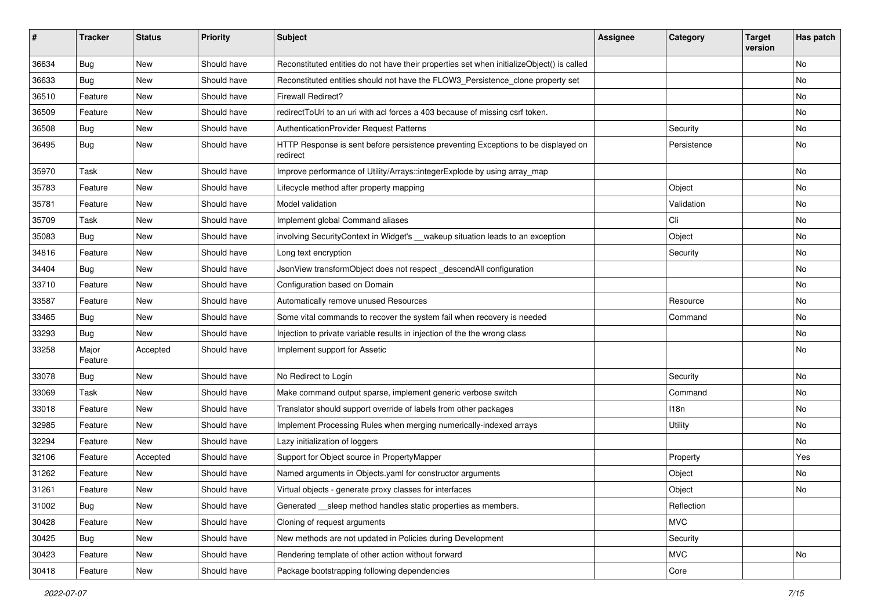| ∦     | <b>Tracker</b>   | <b>Status</b> | <b>Priority</b> | <b>Subject</b>                                                                                | <b>Assignee</b> | Category    | Target<br>version | Has patch |
|-------|------------------|---------------|-----------------|-----------------------------------------------------------------------------------------------|-----------------|-------------|-------------------|-----------|
| 36634 | Bug              | <b>New</b>    | Should have     | Reconstituted entities do not have their properties set when initializeObject() is called     |                 |             |                   | No        |
| 36633 | <b>Bug</b>       | New           | Should have     | Reconstituted entities should not have the FLOW3_Persistence_clone property set               |                 |             |                   | No        |
| 36510 | Feature          | New           | Should have     | <b>Firewall Redirect?</b>                                                                     |                 |             |                   | No        |
| 36509 | Feature          | New           | Should have     | redirectToUri to an uri with acl forces a 403 because of missing csrf token.                  |                 |             |                   | <b>No</b> |
| 36508 | <b>Bug</b>       | New           | Should have     | AuthenticationProvider Request Patterns                                                       |                 | Security    |                   | No        |
| 36495 | Bug              | New           | Should have     | HTTP Response is sent before persistence preventing Exceptions to be displayed on<br>redirect |                 | Persistence |                   | No        |
| 35970 | Task             | <b>New</b>    | Should have     | Improve performance of Utility/Arrays::integerExplode by using array_map                      |                 |             |                   | <b>No</b> |
| 35783 | Feature          | New           | Should have     | Lifecycle method after property mapping                                                       |                 | Object      |                   | No        |
| 35781 | Feature          | New           | Should have     | Model validation                                                                              |                 | Validation  |                   | No        |
| 35709 | Task             | New           | Should have     | Implement global Command aliases                                                              |                 | Cli         |                   | No        |
| 35083 | Bug              | New           | Should have     | involving SecurityContext in Widget's __wakeup situation leads to an exception                |                 | Object      |                   | No        |
| 34816 | Feature          | New           | Should have     | Long text encryption                                                                          |                 | Security    |                   | No        |
| 34404 | Bug              | <b>New</b>    | Should have     | JsonView transformObject does not respect_descendAll configuration                            |                 |             |                   | <b>No</b> |
| 33710 | Feature          | New           | Should have     | Configuration based on Domain                                                                 |                 |             |                   | No        |
| 33587 | Feature          | New           | Should have     | Automatically remove unused Resources                                                         |                 | Resource    |                   | No        |
| 33465 | <b>Bug</b>       | New           | Should have     | Some vital commands to recover the system fail when recovery is needed                        |                 | Command     |                   | <b>No</b> |
| 33293 | <b>Bug</b>       | New           | Should have     | Injection to private variable results in injection of the the wrong class                     |                 |             |                   | No        |
| 33258 | Major<br>Feature | Accepted      | Should have     | Implement support for Assetic                                                                 |                 |             |                   | No        |
| 33078 | <b>Bug</b>       | New           | Should have     | No Redirect to Login                                                                          |                 | Security    |                   | No        |
| 33069 | Task             | <b>New</b>    | Should have     | Make command output sparse, implement generic verbose switch                                  |                 | Command     |                   | No        |
| 33018 | Feature          | New           | Should have     | Translator should support override of labels from other packages                              |                 | 118n        |                   | No        |
| 32985 | Feature          | New           | Should have     | Implement Processing Rules when merging numerically-indexed arrays                            |                 | Utility     |                   | No        |
| 32294 | Feature          | <b>New</b>    | Should have     | Lazy initialization of loggers                                                                |                 |             |                   | No        |
| 32106 | Feature          | Accepted      | Should have     | Support for Object source in PropertyMapper                                                   |                 | Property    |                   | Yes       |
| 31262 | Feature          | <b>New</b>    | Should have     | Named arguments in Objects.yaml for constructor arguments                                     |                 | Object      |                   | No        |
| 31261 | Feature          | New           | Should have     | Virtual objects - generate proxy classes for interfaces                                       |                 | Object      |                   | No        |
| 31002 | <b>Bug</b>       | New           | Should have     | Generated __ sleep method handles static properties as members.                               |                 | Reflection  |                   |           |
| 30428 | Feature          | New           | Should have     | Cloning of request arguments                                                                  |                 | <b>MVC</b>  |                   |           |
| 30425 | Bug              | New           | Should have     | New methods are not updated in Policies during Development                                    |                 | Security    |                   |           |
| 30423 | Feature          | New           | Should have     | Rendering template of other action without forward                                            |                 | <b>MVC</b>  |                   | No        |
| 30418 | Feature          | New           | Should have     | Package bootstrapping following dependencies                                                  |                 | Core        |                   |           |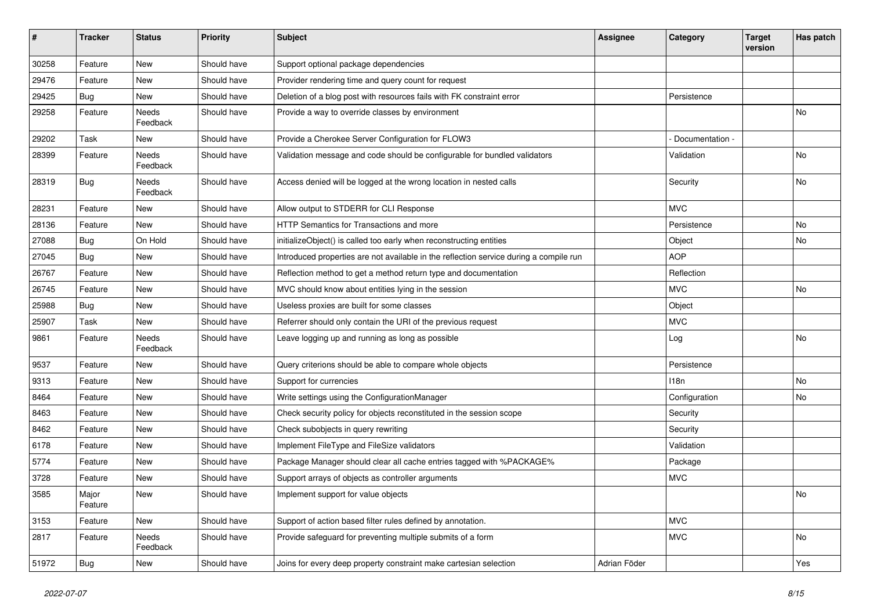| $\pmb{\#}$ | <b>Tracker</b>   | <b>Status</b>     | <b>Priority</b> | <b>Subject</b>                                                                         | <b>Assignee</b> | Category        | <b>Target</b><br>version | Has patch |
|------------|------------------|-------------------|-----------------|----------------------------------------------------------------------------------------|-----------------|-----------------|--------------------------|-----------|
| 30258      | Feature          | <b>New</b>        | Should have     | Support optional package dependencies                                                  |                 |                 |                          |           |
| 29476      | Feature          | New               | Should have     | Provider rendering time and query count for request                                    |                 |                 |                          |           |
| 29425      | <b>Bug</b>       | <b>New</b>        | Should have     | Deletion of a blog post with resources fails with FK constraint error                  |                 | Persistence     |                          |           |
| 29258      | Feature          | Needs<br>Feedback | Should have     | Provide a way to override classes by environment                                       |                 |                 |                          | No        |
| 29202      | Task             | <b>New</b>        | Should have     | Provide a Cherokee Server Configuration for FLOW3                                      |                 | Documentation - |                          |           |
| 28399      | Feature          | Needs<br>Feedback | Should have     | Validation message and code should be configurable for bundled validators              |                 | Validation      |                          | No        |
| 28319      | Bug              | Needs<br>Feedback | Should have     | Access denied will be logged at the wrong location in nested calls                     |                 | Security        |                          | No        |
| 28231      | Feature          | <b>New</b>        | Should have     | Allow output to STDERR for CLI Response                                                |                 | <b>MVC</b>      |                          |           |
| 28136      | Feature          | <b>New</b>        | Should have     | HTTP Semantics for Transactions and more                                               |                 | Persistence     |                          | No        |
| 27088      | <b>Bug</b>       | On Hold           | Should have     | initializeObject() is called too early when reconstructing entities                    |                 | Object          |                          | No        |
| 27045      | <b>Bug</b>       | <b>New</b>        | Should have     | Introduced properties are not available in the reflection service during a compile run |                 | <b>AOP</b>      |                          |           |
| 26767      | Feature          | New               | Should have     | Reflection method to get a method return type and documentation                        |                 | Reflection      |                          |           |
| 26745      | Feature          | <b>New</b>        | Should have     | MVC should know about entities lying in the session                                    |                 | <b>MVC</b>      |                          | No        |
| 25988      | Bug              | <b>New</b>        | Should have     | Useless proxies are built for some classes                                             |                 | Object          |                          |           |
| 25907      | Task             | New               | Should have     | Referrer should only contain the URI of the previous request                           |                 | <b>MVC</b>      |                          |           |
| 9861       | Feature          | Needs<br>Feedback | Should have     | Leave logging up and running as long as possible                                       |                 | Log             |                          | No        |
| 9537       | Feature          | <b>New</b>        | Should have     | Query criterions should be able to compare whole objects                               |                 | Persistence     |                          |           |
| 9313       | Feature          | <b>New</b>        | Should have     | Support for currencies                                                                 |                 | 118n            |                          | No        |
| 8464       | Feature          | New               | Should have     | Write settings using the ConfigurationManager                                          |                 | Configuration   |                          | No        |
| 8463       | Feature          | New               | Should have     | Check security policy for objects reconstituted in the session scope                   |                 | Security        |                          |           |
| 8462       | Feature          | <b>New</b>        | Should have     | Check subobjects in query rewriting                                                    |                 | Security        |                          |           |
| 6178       | Feature          | New               | Should have     | Implement FileType and FileSize validators                                             |                 | Validation      |                          |           |
| 5774       | Feature          | <b>New</b>        | Should have     | Package Manager should clear all cache entries tagged with %PACKAGE%                   |                 | Package         |                          |           |
| 3728       | Feature          | New               | Should have     | Support arrays of objects as controller arguments                                      |                 | <b>MVC</b>      |                          |           |
| 3585       | Major<br>Feature | New               | Should have     | Implement support for value objects                                                    |                 |                 |                          | No        |
| 3153       | Feature          | New               | Should have     | Support of action based filter rules defined by annotation.                            |                 | <b>MVC</b>      |                          |           |
| 2817       | Feature          | Needs<br>Feedback | Should have     | Provide safeguard for preventing multiple submits of a form                            |                 | <b>MVC</b>      |                          | No        |
| 51972      | Bug              | New               | Should have     | Joins for every deep property constraint make cartesian selection                      | Adrian Föder    |                 |                          | Yes       |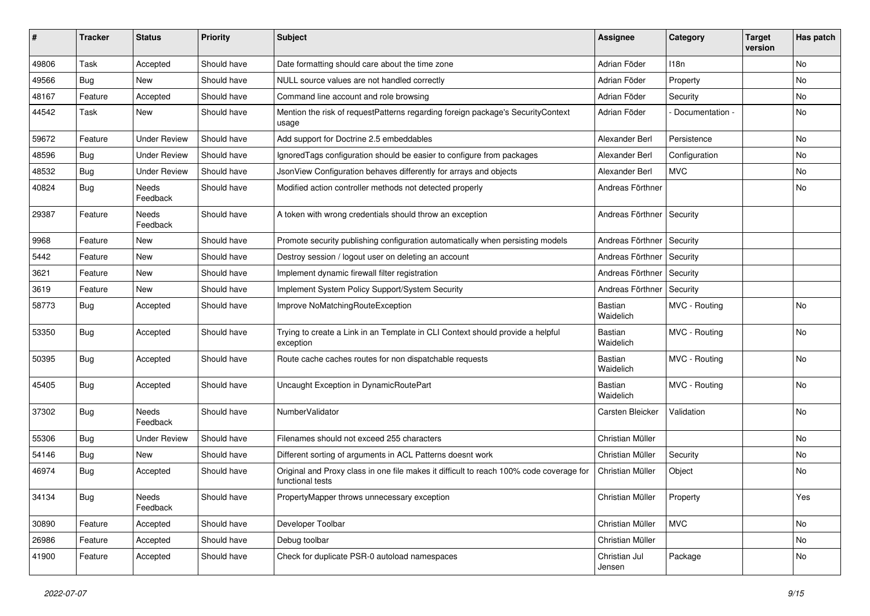| ∦     | <b>Tracker</b> | <b>Status</b>            | <b>Priority</b> | <b>Subject</b>                                                                                              | <b>Assignee</b>             | Category        | <b>Target</b><br>version | Has patch |
|-------|----------------|--------------------------|-----------------|-------------------------------------------------------------------------------------------------------------|-----------------------------|-----------------|--------------------------|-----------|
| 49806 | Task           | Accepted                 | Should have     | Date formatting should care about the time zone                                                             | Adrian Föder                | 118n            |                          | No        |
| 49566 | <b>Bug</b>     | <b>New</b>               | Should have     | NULL source values are not handled correctly                                                                | Adrian Föder                | Property        |                          | No        |
| 48167 | Feature        | Accepted                 | Should have     | Command line account and role browsing                                                                      | Adrian Föder                | Security        |                          | No        |
| 44542 | Task           | New                      | Should have     | Mention the risk of requestPatterns regarding foreign package's SecurityContext<br>usage                    | Adrian Föder                | Documentation - |                          | No        |
| 59672 | Feature        | <b>Under Review</b>      | Should have     | Add support for Doctrine 2.5 embeddables                                                                    | Alexander Berl              | Persistence     |                          | <b>No</b> |
| 48596 | Bug            | <b>Under Review</b>      | Should have     | Ignored Tags configuration should be easier to configure from packages                                      | Alexander Berl              | Configuration   |                          | No        |
| 48532 | <b>Bug</b>     | <b>Under Review</b>      | Should have     | JsonView Configuration behaves differently for arrays and objects                                           | Alexander Berl              | <b>MVC</b>      |                          | No        |
| 40824 | Bug            | Needs<br>Feedback        | Should have     | Modified action controller methods not detected properly                                                    | Andreas Förthner            |                 |                          | No        |
| 29387 | Feature        | <b>Needs</b><br>Feedback | Should have     | A token with wrong credentials should throw an exception                                                    | Andreas Förthner   Security |                 |                          |           |
| 9968  | Feature        | New                      | Should have     | Promote security publishing configuration automatically when persisting models                              | Andreas Förthner            | Security        |                          |           |
| 5442  | Feature        | New                      | Should have     | Destroy session / logout user on deleting an account                                                        | Andreas Förthner            | Security        |                          |           |
| 3621  | Feature        | New                      | Should have     | Implement dynamic firewall filter registration                                                              | Andreas Förthner            | Security        |                          |           |
| 3619  | Feature        | New                      | Should have     | Implement System Policy Support/System Security                                                             | Andreas Förthner            | Security        |                          |           |
| 58773 | Bug            | Accepted                 | Should have     | Improve NoMatchingRouteException                                                                            | <b>Bastian</b><br>Waidelich | MVC - Routing   |                          | No        |
| 53350 | Bug            | Accepted                 | Should have     | Trying to create a Link in an Template in CLI Context should provide a helpful<br>exception                 | <b>Bastian</b><br>Waidelich | MVC - Routing   |                          | No        |
| 50395 | Bug            | Accepted                 | Should have     | Route cache caches routes for non dispatchable requests                                                     | Bastian<br>Waidelich        | MVC - Routing   |                          | No        |
| 45405 | <b>Bug</b>     | Accepted                 | Should have     | Uncaught Exception in DynamicRoutePart                                                                      | Bastian<br>Waidelich        | MVC - Routing   |                          | No        |
| 37302 | Bug            | Needs<br>Feedback        | Should have     | NumberValidator                                                                                             | Carsten Bleicker            | Validation      |                          | No        |
| 55306 | Bug            | <b>Under Review</b>      | Should have     | Filenames should not exceed 255 characters                                                                  | Christian Müller            |                 |                          | <b>No</b> |
| 54146 | Bug            | New                      | Should have     | Different sorting of arguments in ACL Patterns doesnt work                                                  | Christian Müller            | Security        |                          | No        |
| 46974 | Bug            | Accepted                 | Should have     | Original and Proxy class in one file makes it difficult to reach 100% code coverage for<br>functional tests | Christian Müller            | Object          |                          | No        |
| 34134 | <b>Bug</b>     | Needs<br>Feedback        | Should have     | PropertyMapper throws unnecessary exception                                                                 | Christian Müller            | Property        |                          | Yes       |
| 30890 | Feature        | Accepted                 | Should have     | Developer Toolbar                                                                                           | Christian Müller            | <b>MVC</b>      |                          | No        |
| 26986 | Feature        | Accepted                 | Should have     | Debug toolbar                                                                                               | Christian Müller            |                 |                          | No        |
| 41900 | Feature        | Accepted                 | Should have     | Check for duplicate PSR-0 autoload namespaces                                                               | Christian Jul<br>Jensen     | Package         |                          | No        |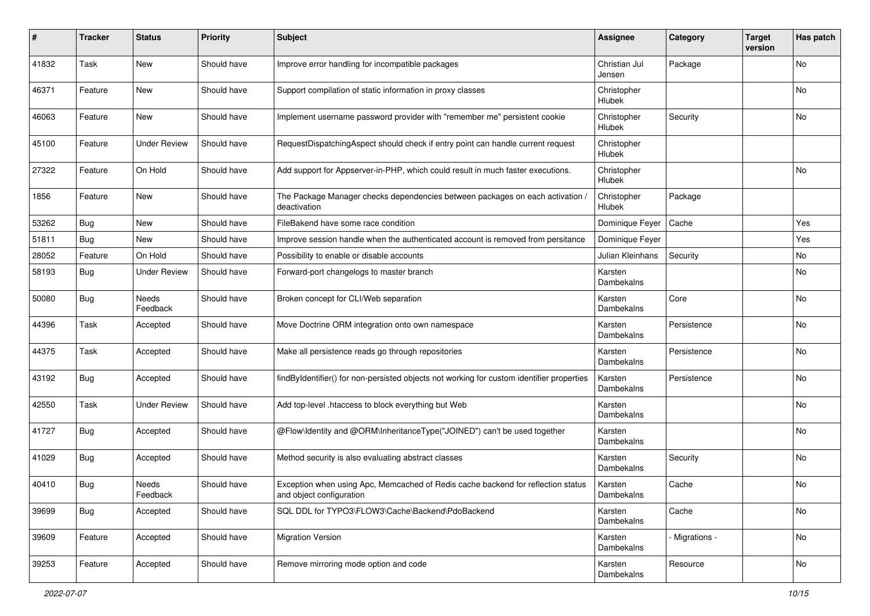| #     | <b>Tracker</b> | <b>Status</b>       | <b>Priority</b> | <b>Subject</b>                                                                                               | <b>Assignee</b>         | Category       | <b>Target</b><br>version | Has patch |
|-------|----------------|---------------------|-----------------|--------------------------------------------------------------------------------------------------------------|-------------------------|----------------|--------------------------|-----------|
| 41832 | Task           | <b>New</b>          | Should have     | Improve error handling for incompatible packages                                                             | Christian Jul<br>Jensen | Package        |                          | No        |
| 46371 | Feature        | New                 | Should have     | Support compilation of static information in proxy classes                                                   | Christopher<br>Hlubek   |                |                          | No        |
| 46063 | Feature        | New                 | Should have     | Implement username password provider with "remember me" persistent cookie                                    | Christopher<br>Hlubek   | Security       |                          | No        |
| 45100 | Feature        | <b>Under Review</b> | Should have     | RequestDispatchingAspect should check if entry point can handle current request                              | Christopher<br>Hlubek   |                |                          |           |
| 27322 | Feature        | On Hold             | Should have     | Add support for Appserver-in-PHP, which could result in much faster executions.                              | Christopher<br>Hlubek   |                |                          | No        |
| 1856  | Feature        | New                 | Should have     | The Package Manager checks dependencies between packages on each activation /<br>deactivation                | Christopher<br>Hlubek   | Package        |                          |           |
| 53262 | <b>Bug</b>     | New                 | Should have     | FileBakend have some race condition                                                                          | Dominique Feyer         | Cache          |                          | Yes       |
| 51811 | <b>Bug</b>     | New                 | Should have     | Improve session handle when the authenticated account is removed from persitance                             | Dominique Feyer         |                |                          | Yes       |
| 28052 | Feature        | On Hold             | Should have     | Possibility to enable or disable accounts                                                                    | Julian Kleinhans        | Security       |                          | No        |
| 58193 | <b>Bug</b>     | <b>Under Review</b> | Should have     | Forward-port changelogs to master branch                                                                     | Karsten<br>Dambekalns   |                |                          | No        |
| 50080 | Bug            | Needs<br>Feedback   | Should have     | Broken concept for CLI/Web separation                                                                        | Karsten<br>Dambekalns   | Core           |                          | No        |
| 44396 | Task           | Accepted            | Should have     | Move Doctrine ORM integration onto own namespace                                                             | Karsten<br>Dambekalns   | Persistence    |                          | No        |
| 44375 | Task           | Accepted            | Should have     | Make all persistence reads go through repositories                                                           | Karsten<br>Dambekalns   | Persistence    |                          | No        |
| 43192 | Bug            | Accepted            | Should have     | findByIdentifier() for non-persisted objects not working for custom identifier properties                    | Karsten<br>Dambekalns   | Persistence    |                          | No        |
| 42550 | Task           | <b>Under Review</b> | Should have     | Add top-level .htaccess to block everything but Web                                                          | Karsten<br>Dambekalns   |                |                          | No        |
| 41727 | <b>Bug</b>     | Accepted            | Should have     | @Flow\ldentity and @ORM\InheritanceType("JOINED") can't be used together                                     | Karsten<br>Dambekalns   |                |                          | No        |
| 41029 | <b>Bug</b>     | Accepted            | Should have     | Method security is also evaluating abstract classes                                                          | Karsten<br>Dambekalns   | Security       |                          | No        |
| 40410 | <b>Bug</b>     | Needs<br>Feedback   | Should have     | Exception when using Apc, Memcached of Redis cache backend for reflection status<br>and object configuration | Karsten<br>Dambekalns   | Cache          |                          | No        |
| 39699 | <b>Bug</b>     | Accepted            | Should have     | SQL DDL for TYPO3\FLOW3\Cache\Backend\PdoBackend                                                             | Karsten<br>Dambekalns   | Cache          |                          | No        |
| 39609 | Feature        | Accepted            | Should have     | <b>Migration Version</b>                                                                                     | Karsten<br>Dambekalns   | - Migrations - |                          | No        |
| 39253 | Feature        | Accepted            | Should have     | Remove mirroring mode option and code                                                                        | Karsten<br>Dambekalns   | Resource       |                          | No        |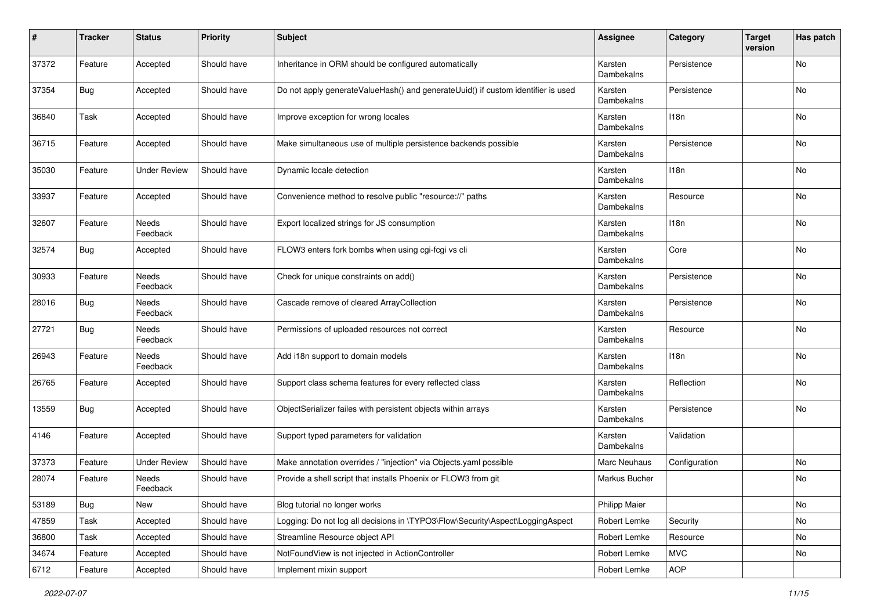| #     | <b>Tracker</b> | <b>Status</b>       | <b>Priority</b> | <b>Subject</b>                                                                   | <b>Assignee</b>       | Category      | <b>Target</b><br>version | Has patch |
|-------|----------------|---------------------|-----------------|----------------------------------------------------------------------------------|-----------------------|---------------|--------------------------|-----------|
| 37372 | Feature        | Accepted            | Should have     | Inheritance in ORM should be configured automatically                            | Karsten<br>Dambekalns | Persistence   |                          | No        |
| 37354 | <b>Bug</b>     | Accepted            | Should have     | Do not apply generateValueHash() and generateUuid() if custom identifier is used | Karsten<br>Dambekalns | Persistence   |                          | No        |
| 36840 | Task           | Accepted            | Should have     | Improve exception for wrong locales                                              | Karsten<br>Dambekalns | 118n          |                          | No        |
| 36715 | Feature        | Accepted            | Should have     | Make simultaneous use of multiple persistence backends possible                  | Karsten<br>Dambekalns | Persistence   |                          | No        |
| 35030 | Feature        | <b>Under Review</b> | Should have     | Dynamic locale detection                                                         | Karsten<br>Dambekalns | 118n          |                          | No        |
| 33937 | Feature        | Accepted            | Should have     | Convenience method to resolve public "resource://" paths                         | Karsten<br>Dambekalns | Resource      |                          | No        |
| 32607 | Feature        | Needs<br>Feedback   | Should have     | Export localized strings for JS consumption                                      | Karsten<br>Dambekalns | 118n          |                          | No        |
| 32574 | Bug            | Accepted            | Should have     | FLOW3 enters fork bombs when using cgi-fcgi vs cli                               | Karsten<br>Dambekalns | Core          |                          | No        |
| 30933 | Feature        | Needs<br>Feedback   | Should have     | Check for unique constraints on add()                                            | Karsten<br>Dambekalns | Persistence   |                          | No        |
| 28016 | Bug            | Needs<br>Feedback   | Should have     | Cascade remove of cleared ArrayCollection                                        | Karsten<br>Dambekalns | Persistence   |                          | No        |
| 27721 | Bug            | Needs<br>Feedback   | Should have     | Permissions of uploaded resources not correct                                    | Karsten<br>Dambekalns | Resource      |                          | No        |
| 26943 | Feature        | Needs<br>Feedback   | Should have     | Add i18n support to domain models                                                | Karsten<br>Dambekalns | 118n          |                          | No        |
| 26765 | Feature        | Accepted            | Should have     | Support class schema features for every reflected class                          | Karsten<br>Dambekalns | Reflection    |                          | No        |
| 13559 | Bug            | Accepted            | Should have     | ObjectSerializer failes with persistent objects within arrays                    | Karsten<br>Dambekalns | Persistence   |                          | No        |
| 4146  | Feature        | Accepted            | Should have     | Support typed parameters for validation                                          | Karsten<br>Dambekalns | Validation    |                          |           |
| 37373 | Feature        | <b>Under Review</b> | Should have     | Make annotation overrides / "injection" via Objects.yaml possible                | Marc Neuhaus          | Configuration |                          | No        |
| 28074 | Feature        | Needs<br>Feedback   | Should have     | Provide a shell script that installs Phoenix or FLOW3 from git                   | Markus Bucher         |               |                          | No        |
| 53189 | Bug            | New                 | Should have     | Blog tutorial no longer works                                                    | Philipp Maier         |               |                          | No        |
| 47859 | Task           | Accepted            | Should have     | Logging: Do not log all decisions in \TYPO3\Flow\Security\Aspect\LoggingAspect   | Robert Lemke          | Security      |                          | No        |
| 36800 | Task           | Accepted            | Should have     | Streamline Resource object API                                                   | Robert Lemke          | Resource      |                          | No        |
| 34674 | Feature        | Accepted            | Should have     | NotFoundView is not injected in ActionController                                 | Robert Lemke          | <b>MVC</b>    |                          | No        |
| 6712  | Feature        | Accepted            | Should have     | Implement mixin support                                                          | Robert Lemke          | AOP           |                          |           |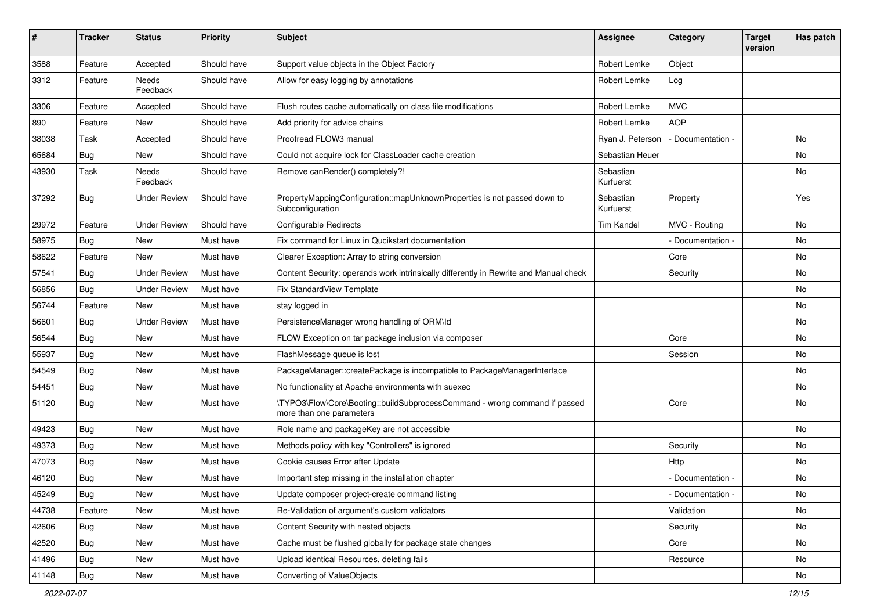| #     | <b>Tracker</b> | <b>Status</b>       | <b>Priority</b> | Subject                                                                                                | <b>Assignee</b>        | Category          | <b>Target</b><br>version | Has patch |
|-------|----------------|---------------------|-----------------|--------------------------------------------------------------------------------------------------------|------------------------|-------------------|--------------------------|-----------|
| 3588  | Feature        | Accepted            | Should have     | Support value objects in the Object Factory                                                            | Robert Lemke           | Object            |                          |           |
| 3312  | Feature        | Needs<br>Feedback   | Should have     | Allow for easy logging by annotations                                                                  | Robert Lemke           | Log               |                          |           |
| 3306  | Feature        | Accepted            | Should have     | Flush routes cache automatically on class file modifications                                           | Robert Lemke           | <b>MVC</b>        |                          |           |
| 890   | Feature        | <b>New</b>          | Should have     | Add priority for advice chains                                                                         | Robert Lemke           | <b>AOP</b>        |                          |           |
| 38038 | Task           | Accepted            | Should have     | Proofread FLOW3 manual                                                                                 | Ryan J. Peterson       | - Documentation - |                          | No        |
| 65684 | Bug            | New                 | Should have     | Could not acquire lock for ClassLoader cache creation                                                  | Sebastian Heuer        |                   |                          | No        |
| 43930 | Task           | Needs<br>Feedback   | Should have     | Remove canRender() completely?!                                                                        | Sebastian<br>Kurfuerst |                   |                          | No.       |
| 37292 | Bug            | <b>Under Review</b> | Should have     | PropertyMappingConfiguration::mapUnknownProperties is not passed down to<br>Subconfiguration           | Sebastian<br>Kurfuerst | Property          |                          | Yes       |
| 29972 | Feature        | <b>Under Review</b> | Should have     | Configurable Redirects                                                                                 | <b>Tim Kandel</b>      | MVC - Routing     |                          | No        |
| 58975 | Bug            | <b>New</b>          | Must have       | Fix command for Linux in Qucikstart documentation                                                      |                        | Documentation -   |                          | No        |
| 58622 | Feature        | New                 | Must have       | Clearer Exception: Array to string conversion                                                          |                        | Core              |                          | No        |
| 57541 | Bug            | <b>Under Review</b> | Must have       | Content Security: operands work intrinsically differently in Rewrite and Manual check                  |                        | Security          |                          | No        |
| 56856 | Bug            | <b>Under Review</b> | Must have       | Fix StandardView Template                                                                              |                        |                   |                          | No        |
| 56744 | Feature        | <b>New</b>          | Must have       | stay logged in                                                                                         |                        |                   |                          | No        |
| 56601 | Bug            | <b>Under Review</b> | Must have       | PersistenceManager wrong handling of ORM\ld                                                            |                        |                   |                          | No        |
| 56544 | Bug            | New                 | Must have       | FLOW Exception on tar package inclusion via composer                                                   |                        | Core              |                          | No        |
| 55937 | Bug            | New                 | Must have       | FlashMessage queue is lost                                                                             |                        | Session           |                          | No        |
| 54549 | Bug            | New                 | Must have       | PackageManager::createPackage is incompatible to PackageManagerInterface                               |                        |                   |                          | No        |
| 54451 | Bug            | New                 | Must have       | No functionality at Apache environments with suexec                                                    |                        |                   |                          | No        |
| 51120 | Bug            | New                 | Must have       | \TYPO3\Flow\Core\Booting::buildSubprocessCommand - wrong command if passed<br>more than one parameters |                        | Core              |                          | No        |
| 49423 | Bug            | <b>New</b>          | Must have       | Role name and packageKey are not accessible                                                            |                        |                   |                          | No        |
| 49373 | Bug            | New                 | Must have       | Methods policy with key "Controllers" is ignored                                                       |                        | Security          |                          | No        |
| 47073 | Bug            | New                 | Must have       | Cookie causes Error after Update                                                                       |                        | Http              |                          | No        |
| 46120 | Bug            | New                 | Must have       | Important step missing in the installation chapter                                                     |                        | Documentation -   |                          | No        |
| 45249 | <b>Bug</b>     | New                 | Must have       | Update composer project-create command listing                                                         |                        | - Documentation - |                          | No.       |
| 44738 | Feature        | New                 | Must have       | Re-Validation of argument's custom validators                                                          |                        | Validation        |                          | No        |
| 42606 | <b>Bug</b>     | New                 | Must have       | Content Security with nested objects                                                                   |                        | Security          |                          | No        |
| 42520 | <b>Bug</b>     | New                 | Must have       | Cache must be flushed globally for package state changes                                               |                        | Core              |                          | No        |
| 41496 | Bug            | New                 | Must have       | Upload identical Resources, deleting fails                                                             |                        | Resource          |                          | No        |
| 41148 | Bug            | New                 | Must have       | Converting of ValueObjects                                                                             |                        |                   |                          | No        |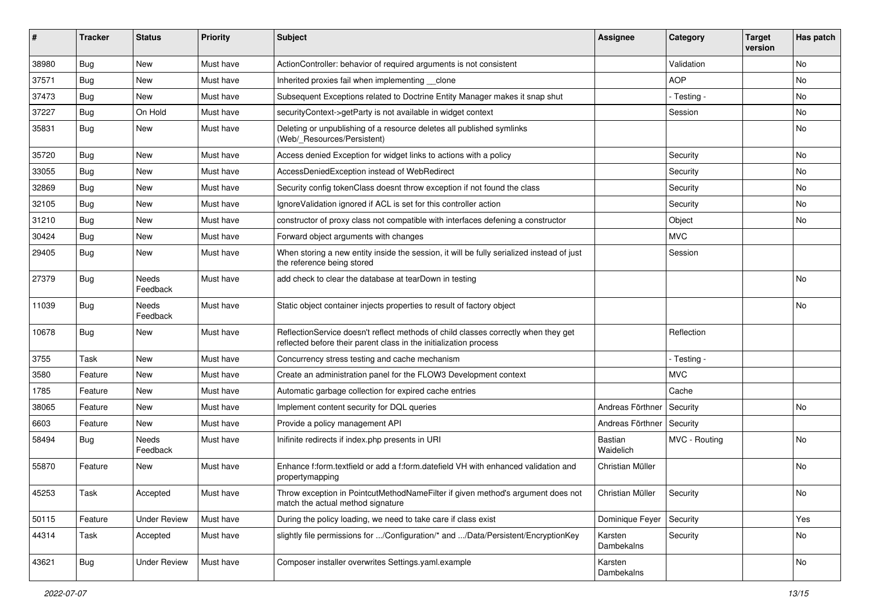| ∦     | <b>Tracker</b> | <b>Status</b>       | <b>Priority</b> | <b>Subject</b>                                                                                                                                          | <b>Assignee</b>       | Category      | <b>Target</b><br>version | Has patch |
|-------|----------------|---------------------|-----------------|---------------------------------------------------------------------------------------------------------------------------------------------------------|-----------------------|---------------|--------------------------|-----------|
| 38980 | Bug            | New                 | Must have       | ActionController: behavior of required arguments is not consistent                                                                                      |                       | Validation    |                          | <b>No</b> |
| 37571 | <b>Bug</b>     | <b>New</b>          | Must have       | Inherited proxies fail when implementing clone                                                                                                          |                       | <b>AOP</b>    |                          | No        |
| 37473 | <b>Bug</b>     | New                 | Must have       | Subsequent Exceptions related to Doctrine Entity Manager makes it snap shut                                                                             |                       | - Testing -   |                          | No        |
| 37227 | Bug            | On Hold             | Must have       | securityContext->getParty is not available in widget context                                                                                            |                       | Session       |                          | No        |
| 35831 | <b>Bug</b>     | New                 | Must have       | Deleting or unpublishing of a resource deletes all published symlinks<br>(Web/_Resources/Persistent)                                                    |                       |               |                          | No        |
| 35720 | <b>Bug</b>     | New                 | Must have       | Access denied Exception for widget links to actions with a policy                                                                                       |                       | Security      |                          | No        |
| 33055 | <b>Bug</b>     | New                 | Must have       | AccessDeniedException instead of WebRedirect                                                                                                            |                       | Security      |                          | No        |
| 32869 | Bug            | New                 | Must have       | Security config tokenClass doesnt throw exception if not found the class                                                                                |                       | Security      |                          | No        |
| 32105 | Bug            | New                 | Must have       | IgnoreValidation ignored if ACL is set for this controller action                                                                                       |                       | Security      |                          | No        |
| 31210 | <b>Bug</b>     | New                 | Must have       | constructor of proxy class not compatible with interfaces defening a constructor                                                                        |                       | Object        |                          | No        |
| 30424 | Bug            | <b>New</b>          | Must have       | Forward object arguments with changes                                                                                                                   |                       | <b>MVC</b>    |                          |           |
| 29405 | <b>Bug</b>     | New                 | Must have       | When storing a new entity inside the session, it will be fully serialized instead of just<br>the reference being stored                                 |                       | Session       |                          |           |
| 27379 | <b>Bug</b>     | Needs<br>Feedback   | Must have       | add check to clear the database at tearDown in testing                                                                                                  |                       |               |                          | No        |
| 11039 | Bug            | Needs<br>Feedback   | Must have       | Static object container injects properties to result of factory object                                                                                  |                       |               |                          | No        |
| 10678 | <b>Bug</b>     | New                 | Must have       | ReflectionService doesn't reflect methods of child classes correctly when they get<br>reflected before their parent class in the initialization process |                       | Reflection    |                          |           |
| 3755  | Task           | <b>New</b>          | Must have       | Concurrency stress testing and cache mechanism                                                                                                          |                       | - Testing -   |                          |           |
| 3580  | Feature        | New                 | Must have       | Create an administration panel for the FLOW3 Development context                                                                                        |                       | <b>MVC</b>    |                          |           |
| 1785  | Feature        | New                 | Must have       | Automatic garbage collection for expired cache entries                                                                                                  |                       | Cache         |                          |           |
| 38065 | Feature        | New                 | Must have       | Implement content security for DQL queries                                                                                                              | Andreas Förthner      | Security      |                          | No        |
| 6603  | Feature        | New                 | Must have       | Provide a policy management API                                                                                                                         | Andreas Förthner      | Security      |                          |           |
| 58494 | <b>Bug</b>     | Needs<br>Feedback   | Must have       | Inifinite redirects if index.php presents in URI                                                                                                        | Bastian<br>Waidelich  | MVC - Routing |                          | <b>No</b> |
| 55870 | Feature        | New                 | Must have       | Enhance f:form.textfield or add a f:form.datefield VH with enhanced validation and<br>propertymapping                                                   | Christian Müller      |               |                          | <b>No</b> |
| 45253 | Task           | Accepted            | Must have       | Throw exception in PointcutMethodNameFilter if given method's argument does not<br>match the actual method signature                                    | Christian Müller      | Security      |                          | No        |
| 50115 | Feature        | <b>Under Review</b> | Must have       | During the policy loading, we need to take care if class exist                                                                                          | Dominique Feyer       | Security      |                          | Yes       |
| 44314 | Task           | Accepted            | Must have       | slightly file permissions for /Configuration/* and /Data/Persistent/EncryptionKey                                                                       | Karsten<br>Dambekalns | Security      |                          | No        |
| 43621 | Bug            | <b>Under Review</b> | Must have       | Composer installer overwrites Settings.yaml.example                                                                                                     | Karsten<br>Dambekalns |               |                          | No        |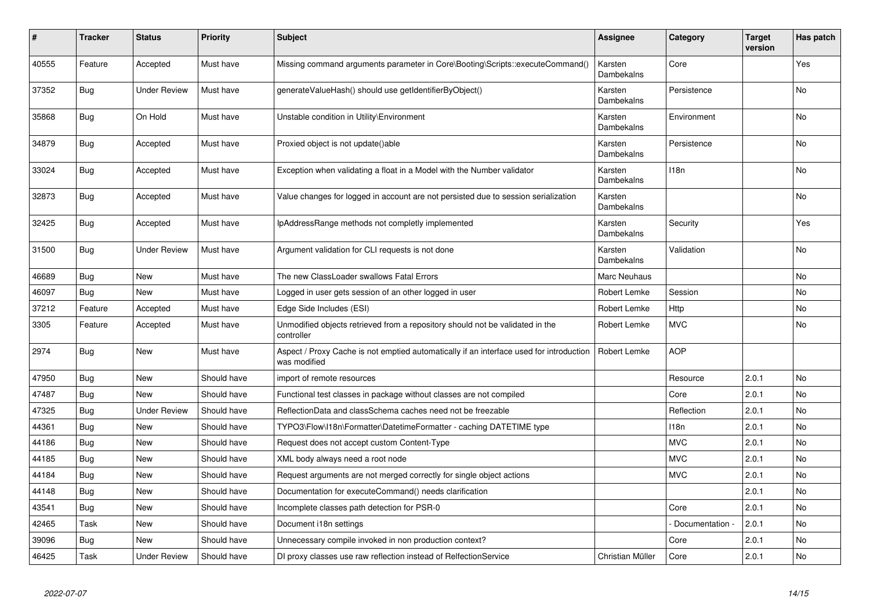| #     | Tracker    | <b>Status</b>       | <b>Priority</b> | <b>Subject</b>                                                                                          | <b>Assignee</b>       | Category         | <b>Target</b><br>version | Has patch      |
|-------|------------|---------------------|-----------------|---------------------------------------------------------------------------------------------------------|-----------------------|------------------|--------------------------|----------------|
| 40555 | Feature    | Accepted            | Must have       | Missing command arguments parameter in Core\Booting\Scripts::executeCommand()                           | Karsten<br>Dambekalns | Core             |                          | Yes            |
| 37352 | Bug        | <b>Under Review</b> | Must have       | generateValueHash() should use getIdentifierByObject()                                                  | Karsten<br>Dambekalns | Persistence      |                          | <b>No</b>      |
| 35868 | Bug        | On Hold             | Must have       | Unstable condition in Utility\Environment                                                               | Karsten<br>Dambekalns | Environment      |                          | <b>No</b>      |
| 34879 | <b>Bug</b> | Accepted            | Must have       | Proxied object is not update()able                                                                      | Karsten<br>Dambekalns | Persistence      |                          | No             |
| 33024 | <b>Bug</b> | Accepted            | Must have       | Exception when validating a float in a Model with the Number validator                                  | Karsten<br>Dambekalns | 118 <sub>n</sub> |                          | No             |
| 32873 | Bug        | Accepted            | Must have       | Value changes for logged in account are not persisted due to session serialization                      | Karsten<br>Dambekalns |                  |                          | No             |
| 32425 | Bug        | Accepted            | Must have       | IpAddressRange methods not completly implemented                                                        | Karsten<br>Dambekalns | Security         |                          | Yes            |
| 31500 | Bug        | <b>Under Review</b> | Must have       | Argument validation for CLI requests is not done                                                        | Karsten<br>Dambekalns | Validation       |                          | <b>No</b>      |
| 46689 | <b>Bug</b> | New                 | Must have       | The new ClassLoader swallows Fatal Errors                                                               | <b>Marc Neuhaus</b>   |                  |                          | No             |
| 46097 | <b>Bug</b> | <b>New</b>          | Must have       | Logged in user gets session of an other logged in user                                                  | Robert Lemke          | Session          |                          | <b>No</b>      |
| 37212 | Feature    | Accepted            | Must have       | Edge Side Includes (ESI)                                                                                | Robert Lemke          | Http             |                          | N <sub>o</sub> |
| 3305  | Feature    | Accepted            | Must have       | Unmodified objects retrieved from a repository should not be validated in the<br>controller             | Robert Lemke          | <b>MVC</b>       |                          | No             |
| 2974  | <b>Bug</b> | New                 | Must have       | Aspect / Proxy Cache is not emptied automatically if an interface used for introduction<br>was modified | Robert Lemke          | <b>AOP</b>       |                          |                |
| 47950 | Bug        | New                 | Should have     | import of remote resources                                                                              |                       | Resource         | 2.0.1                    | No             |
| 47487 | Bug        | New                 | Should have     | Functional test classes in package without classes are not compiled                                     |                       | Core             | 2.0.1                    | No.            |
| 47325 | Bug        | <b>Under Review</b> | Should have     | ReflectionData and classSchema caches need not be freezable                                             |                       | Reflection       | 2.0.1                    | No             |
| 44361 | Bug        | <b>New</b>          | Should have     | TYPO3\Flow\I18n\Formatter\DatetimeFormatter - caching DATETIME type                                     |                       | 118n             | 2.0.1                    | No             |
| 44186 | Bug        | <b>New</b>          | Should have     | Request does not accept custom Content-Type                                                             |                       | <b>MVC</b>       | 2.0.1                    | <b>No</b>      |
| 44185 | Bug        | New                 | Should have     | XML body always need a root node                                                                        |                       | <b>MVC</b>       | 2.0.1                    | No             |
| 44184 | Bug        | <b>New</b>          | Should have     | Request arguments are not merged correctly for single object actions                                    |                       | <b>MVC</b>       | 2.0.1                    | <b>No</b>      |
| 44148 | Bug        | <b>New</b>          | Should have     | Documentation for executeCommand() needs clarification                                                  |                       |                  | 2.0.1                    | <b>No</b>      |
| 43541 | Bug        | New                 | Should have     | Incomplete classes path detection for PSR-0                                                             |                       | Core             | 2.0.1                    | <b>No</b>      |
| 42465 | Task       | New                 | Should have     | Document i18n settings                                                                                  |                       | Documentation -  | 2.0.1                    | No             |
| 39096 | Bug        | New                 | Should have     | Unnecessary compile invoked in non production context?                                                  |                       | Core             | 2.0.1                    | No.            |
| 46425 | Task       | <b>Under Review</b> | Should have     | DI proxy classes use raw reflection instead of RelfectionService                                        | Christian Müller      | Core             | 2.0.1                    | N <sub>o</sub> |